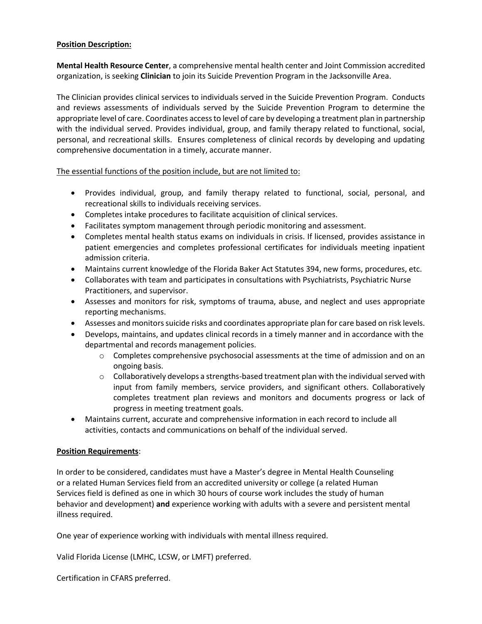## **Position Description:**

**Mental Health Resource Center**, a comprehensive mental health center and Joint Commission accredited organization, is seeking **Clinician** to join its Suicide Prevention Program in the Jacksonville Area.

The Clinician provides clinical services to individuals served in the Suicide Prevention Program. Conducts and reviews assessments of individuals served by the Suicide Prevention Program to determine the appropriate level of care. Coordinates access to level of care by developing a treatment plan in partnership with the individual served. Provides individual, group, and family therapy related to functional, social, personal, and recreational skills. Ensures completeness of clinical records by developing and updating comprehensive documentation in a timely, accurate manner.

The essential functions of the position include, but are not limited to:

- Provides individual, group, and family therapy related to functional, social, personal, and recreational skills to individuals receiving services.
- Completes intake procedures to facilitate acquisition of clinical services.
- Facilitates symptom management through periodic monitoring and assessment.
- Completes mental health status exams on individuals in crisis. If licensed, provides assistance in patient emergencies and completes professional certificates for individuals meeting inpatient admission criteria.
- Maintains current knowledge of the Florida Baker Act Statutes 394, new forms, procedures, etc.
- Collaborates with team and participates in consultations with Psychiatrists, Psychiatric Nurse Practitioners, and supervisor.
- Assesses and monitors for risk, symptoms of trauma, abuse, and neglect and uses appropriate reporting mechanisms.
- Assesses and monitors suicide risks and coordinates appropriate plan for care based on risk levels.
- Develops, maintains, and updates clinical records in a timely manner and in accordance with the departmental and records management policies.
	- $\circ$  Completes comprehensive psychosocial assessments at the time of admission and on an ongoing basis.
	- $\circ$  Collaboratively develops a strengths-based treatment plan with the individual served with input from family members, service providers, and significant others. Collaboratively completes treatment plan reviews and monitors and documents progress or lack of progress in meeting treatment goals.
- Maintains current, accurate and comprehensive information in each record to include all activities, contacts and communications on behalf of the individual served.

## **Position Requirements**:

In order to be considered, candidates must have a Master's degree in Mental Health Counseling or a related Human Services field from an accredited university or college (a related Human Services field is defined as one in which 30 hours of course work includes the study of human behavior and development) **and** experience working with adults with a severe and persistent mental illness required.

One year of experience working with individuals with mental illness required.

Valid Florida License (LMHC, LCSW, or LMFT) preferred.

Certification in CFARS preferred.